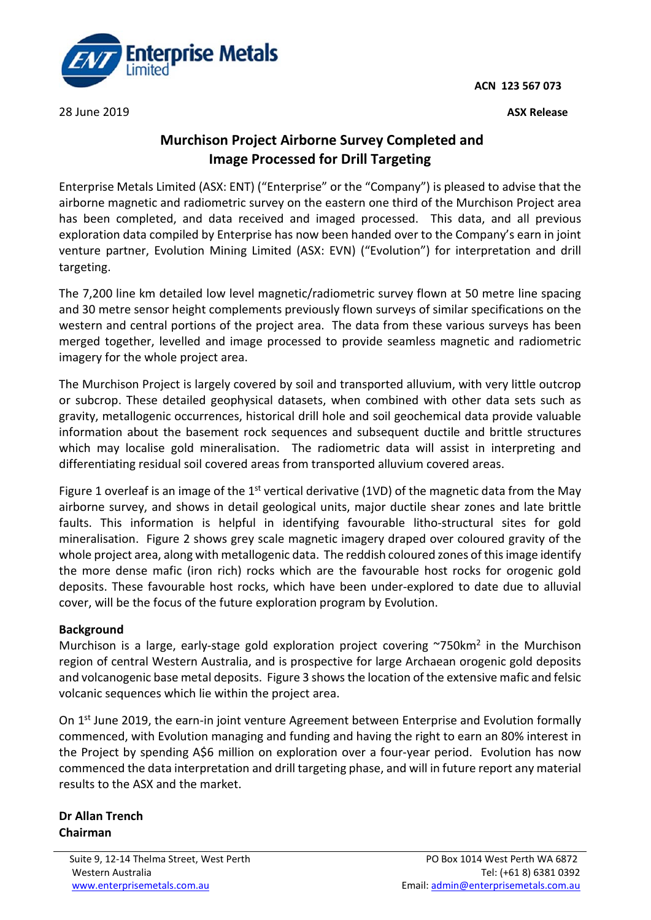**ACN 123 567 073**



28 June 2019 **ASX Release** 

## **Murchison Project Airborne Survey Completed and Image Processed for Drill Targeting**

Enterprise Metals Limited (ASX: ENT) ("Enterprise" or the "Company") is pleased to advise that the airborne magnetic and radiometric survey on the eastern one third of the Murchison Project area has been completed, and data received and imaged processed. This data, and all previous exploration data compiled by Enterprise has now been handed over to the Company's earn in joint venture partner, Evolution Mining Limited (ASX: EVN) ("Evolution") for interpretation and drill targeting.

The 7,200 line km detailed low level magnetic/radiometric survey flown at 50 metre line spacing and 30 metre sensor height complements previously flown surveys of similar specifications on the western and central portions of the project area. The data from these various surveys has been merged together, levelled and image processed to provide seamless magnetic and radiometric imagery for the whole project area.

The Murchison Project is largely covered by soil and transported alluvium, with very little outcrop or subcrop. These detailed geophysical datasets, when combined with other data sets such as gravity, metallogenic occurrences, historical drill hole and soil geochemical data provide valuable information about the basement rock sequences and subsequent ductile and brittle structures which may localise gold mineralisation. The radiometric data will assist in interpreting and differentiating residual soil covered areas from transported alluvium covered areas.

Figure 1 overleaf is an image of the 1<sup>st</sup> vertical derivative (1VD) of the magnetic data from the May airborne survey, and shows in detail geological units, major ductile shear zones and late brittle faults. This information is helpful in identifying favourable litho-structural sites for gold mineralisation. Figure 2 shows grey scale magnetic imagery draped over coloured gravity of the whole project area, along with metallogenic data. The reddish coloured zones of this image identify the more dense mafic (iron rich) rocks which are the favourable host rocks for orogenic gold deposits. These favourable host rocks, which have been under-explored to date due to alluvial cover, will be the focus of the future exploration program by Evolution.

## **Background**

Murchison is a large, early-stage gold exploration project covering  $\sim$ 750km<sup>2</sup> in the Murchison region of central Western Australia, and is prospective for large Archaean orogenic gold deposits and volcanogenic base metal deposits. Figure 3 shows the location of the extensive mafic and felsic volcanic sequences which lie within the project area.

On 1<sup>st</sup> June 2019, the earn-in joint venture Agreement between Enterprise and Evolution formally commenced, with Evolution managing and funding and having the right to earn an 80% interest in the Project by spending A\$6 million on exploration over a four-year period. Evolution has now commenced the data interpretation and drill targeting phase, and will in future report any material results to the ASX and the market.

**Dr Allan Trench Chairman**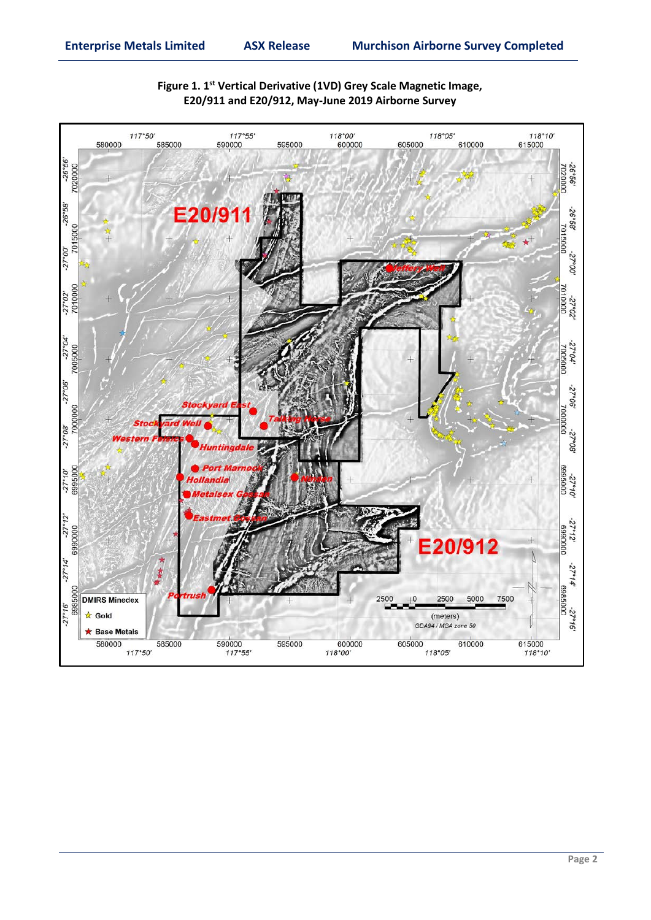

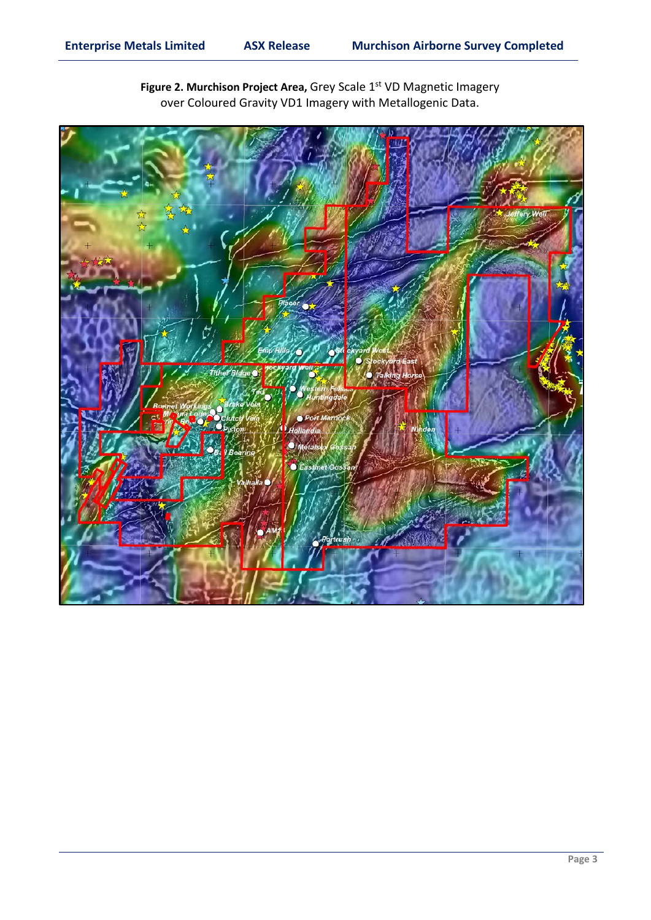

Figure 2. Murchison Project Area, Grey Scale 1<sup>st</sup> VD Magnetic Imagery over Coloured Gravity VD1 Imagery with Metallogenic Data.